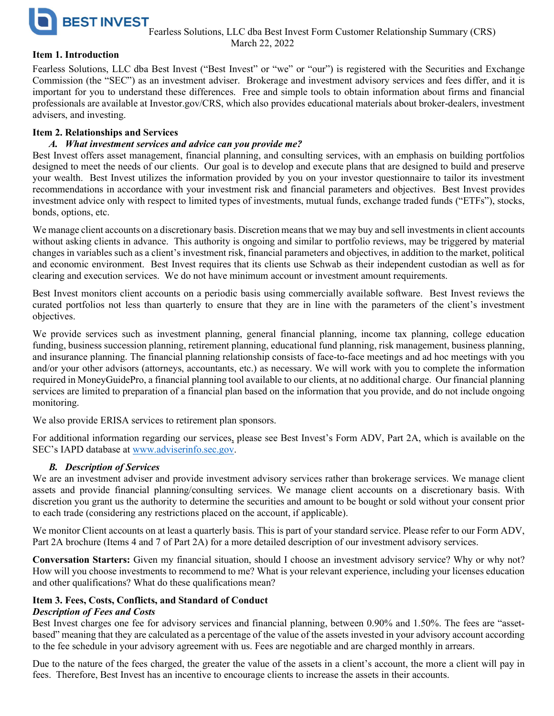

## Item 1. Introduction

Fearless Solutions, LLC dba Best Invest ("Best Invest" or "we" or "our") is registered with the Securities and Exchange Commission (the "SEC") as an investment adviser. Brokerage and investment advisory services and fees differ, and it is important for you to understand these differences. Free and simple tools to obtain information about firms and financial professionals are available at Investor.gov/CRS, which also provides educational materials about broker-dealers, investment advisers, and investing.

## Item 2. Relationships and Services

## A. What investment services and advice can you provide me?

Best Invest offers asset management, financial planning, and consulting services, with an emphasis on building portfolios designed to meet the needs of our clients. Our goal is to develop and execute plans that are designed to build and preserve your wealth. Best Invest utilizes the information provided by you on your investor questionnaire to tailor its investment recommendations in accordance with your investment risk and financial parameters and objectives. Best Invest provides investment advice only with respect to limited types of investments, mutual funds, exchange traded funds ("ETFs"), stocks, bonds, options, etc.

We manage client accounts on a discretionary basis. Discretion means that we may buy and sell investments in client accounts without asking clients in advance. This authority is ongoing and similar to portfolio reviews, may be triggered by material changes in variables such as a client's investment risk, financial parameters and objectives, in addition to the market, political and economic environment. Best Invest requires that its clients use Schwab as their independent custodian as well as for clearing and execution services. We do not have minimum account or investment amount requirements.

Best Invest monitors client accounts on a periodic basis using commercially available software. Best Invest reviews the curated portfolios not less than quarterly to ensure that they are in line with the parameters of the client's investment objectives.

We provide services such as investment planning, general financial planning, income tax planning, college education funding, business succession planning, retirement planning, educational fund planning, risk management, business planning, and insurance planning. The financial planning relationship consists of face-to-face meetings and ad hoc meetings with you and/or your other advisors (attorneys, accountants, etc.) as necessary. We will work with you to complete the information required in MoneyGuidePro, a financial planning tool available to our clients, at no additional charge. Our financial planning services are limited to preparation of a financial plan based on the information that you provide, and do not include ongoing monitoring.

We also provide ERISA services to retirement plan sponsors.

For additional information regarding our services, please see Best Invest's Form ADV, Part 2A, which is available on the SEC's IAPD database at www.adviserinfo.sec.gov.

# B. Description of Services

We are an investment adviser and provide investment advisory services rather than brokerage services. We manage client assets and provide financial planning/consulting services. We manage client accounts on a discretionary basis. With discretion you grant us the authority to determine the securities and amount to be bought or sold without your consent prior to each trade (considering any restrictions placed on the account, if applicable).

We monitor Client accounts on at least a quarterly basis. This is part of your standard service. Please refer to our Form ADV, Part 2A brochure (Items 4 and 7 of Part 2A) for a more detailed description of our investment advisory services.

Conversation Starters: Given my financial situation, should I choose an investment advisory service? Why or why not? How will you choose investments to recommend to me? What is your relevant experience, including your licenses education and other qualifications? What do these qualifications mean?

## Item 3. Fees, Costs, Conflicts, and Standard of Conduct

## Description of Fees and Costs

Best Invest charges one fee for advisory services and financial planning, between 0.90% and 1.50%. The fees are "assetbased" meaning that they are calculated as a percentage of the value of the assets invested in your advisory account according to the fee schedule in your advisory agreement with us. Fees are negotiable and are charged monthly in arrears.

Due to the nature of the fees charged, the greater the value of the assets in a client's account, the more a client will pay in fees. Therefore, Best Invest has an incentive to encourage clients to increase the assets in their accounts.